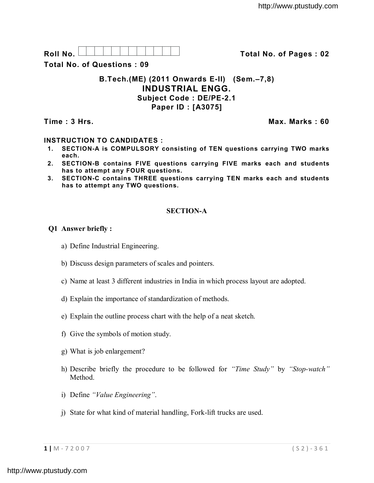Roll No. <u>And I And I Alexander Hermitide Collinson Total No.</u> of Pages : 02

**Total No. of Questions : 09**

# **B.Tech.(ME) (2011 Onwards E-II) (Sem.–7,8) INDUSTRIAL ENGG. Subject Code : DE/PE-2.1 Paper ID : [A3075]**

**Time : 3 Hrs. Max. Marks : 60**

# **INSTRUCTION TO CANDIDATES :**

- **1. SECTION-A is COMPULSORY consisting of TEN questions carrying TWO marks each.**
- **2. SECTION-B contains FIVE questions carrying FIVE marks each and students has to attempt any FOUR questions.**
- **3. SECTION-C contains THREE questions carrying TEN marks each and students has to attempt any TWO questions.**

# **SECTION-A**

# **Q1 Answer briefly :**

- a) Define Industrial Engineering.
- b) Discuss design parameters of scales and pointers.
- c) Name at least 3 different industries in India in which process layout are adopted.
- d) Explain the importance of standardization of methods.
- e) Explain the outline process chart with the help of a neat sketch.
- f) Give the symbols of motion study.
- g) What is job enlargement?
- h) Describe briefly the procedure to be followed for *"Time Study"* by *"Stop-watch"* Method.
- i) Define *"Value Engineering"*.
- j) State for what kind of material handling, Fork-lift trucks are used.